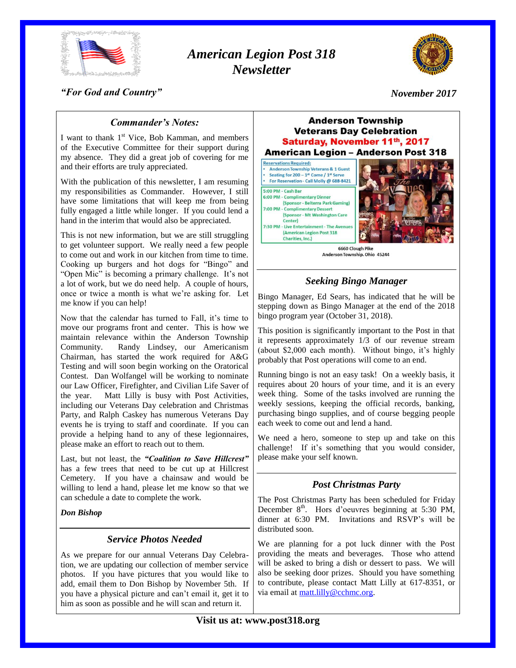

# *American Legion Post 318 Newsletter*



# *"For God and Country"*

# *November 2017*

# *Commander's Notes:*

I want to thank 1<sup>st</sup> Vice, Bob Kamman, and members of the Executive Committee for their support during my absence. They did a great job of covering for me and their efforts are truly appreciated.

With the publication of this newsletter, I am resuming my responsibilities as Commander. However, I still have some limitations that will keep me from being fully engaged a little while longer. If you could lend a hand in the interim that would also be appreciated.

This is not new information, but we are still struggling to get volunteer support. We really need a few people to come out and work in our kitchen from time to time. Cooking up burgers and hot dogs for "Bingo" and "Open Mic" is becoming a primary challenge. It's not a lot of work, but we do need help. A couple of hours, once or twice a month is what we're asking for. Let me know if you can help!

Now that the calendar has turned to Fall, it's time to move our programs front and center. This is how we maintain relevance within the Anderson Township Community. Randy Lindsey, our Americanism Chairman, has started the work required for A&G Testing and will soon begin working on the Oratorical Contest. Dan Wolfangel will be working to nominate our Law Officer, Firefighter, and Civilian Life Saver of the year. Matt Lilly is busy with Post Activities, including our Veterans Day celebration and Christmas Party, and Ralph Caskey has numerous Veterans Day events he is trying to staff and coordinate. If you can provide a helping hand to any of these legionnaires, please make an effort to reach out to them.

Last, but not least, the *"Coalition to Save Hillcrest"* has a few trees that need to be cut up at Hillcrest Cemetery. If you have a chainsaw and would be willing to lend a hand, please let me know so that we can schedule a date to complete the work.

*Don Bishop*

### *Service Photos Needed*

As we prepare for our annual Veterans Day Celebration, we are updating our collection of member service photos. If you have pictures that you would like to add, email them to Don Bishop by November 5th. If you have a physical picture and can't email it, get it to him as soon as possible and he will scan and return it.



# *Seeking Bingo Manager*

Bingo Manager, Ed Sears, has indicated that he will be stepping down as Bingo Manager at the end of the 2018 bingo program year (October 31, 2018).

This position is significantly important to the Post in that it represents approximately 1/3 of our revenue stream (about \$2,000 each month). Without bingo, it's highly probably that Post operations will come to an end.

Running bingo is not an easy task! On a weekly basis, it requires about 20 hours of your time, and it is an every week thing. Some of the tasks involved are running the weekly sessions, keeping the official records, banking, purchasing bingo supplies, and of course begging people each week to come out and lend a hand.

We need a hero, someone to step up and take on this challenge! If it's something that you would consider, please make your self known.

# *Post Christmas Party*

The Post Christmas Party has been scheduled for Friday December  $8<sup>th</sup>$ . Hors d'oeuvres beginning at 5:30 PM, dinner at 6:30 PM. Invitations and RSVP's will be distributed soon.

We are planning for a pot luck dinner with the Post providing the meats and beverages. Those who attend will be asked to bring a dish or dessert to pass. We will also be seeking door prizes. Should you have something to contribute, please contact Matt Lilly at 617-8351, or via email at [matt.lilly@cchmc.org.](mailto:matt.lilly@cchmc.org)

# **Visit us at: www.post318.org**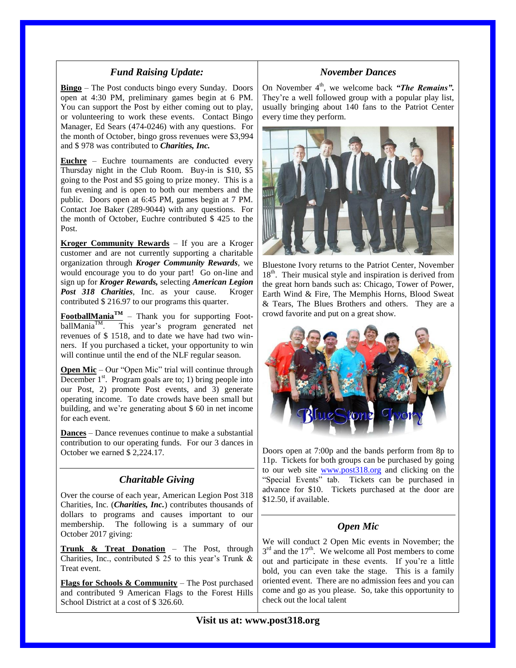# *Fund Raising Update:*

**Bingo** – The Post conducts bingo every Sunday. Doors open at 4:30 PM, preliminary games begin at 6 PM. You can support the Post by either coming out to play, or volunteering to work these events. Contact Bingo Manager, Ed Sears (474-0246) with any questions. For the month of October, bingo gross revenues were \$3,994 and \$ 978 was contributed to *Charities, Inc.*

**Euchre** – Euchre tournaments are conducted every Thursday night in the Club Room. Buy-in is \$10, \$5 going to the Post and \$5 going to prize money. This is a fun evening and is open to both our members and the public. Doors open at 6:45 PM, games begin at 7 PM. Contact Joe Baker (289-9044) with any questions. For the month of October, Euchre contributed \$ 425 to the Post.

**Kroger Community Rewards** – If you are a Kroger customer and are not currently supporting a charitable organization through *Kroger Community Rewards*, we would encourage you to do your part! Go on-line and sign up for *Kroger Rewards,* selecting *American Legion Post 318 Charities*, Inc. as your cause. Kroger contributed \$ 216.97 to our programs this quarter.

**FootballMania**<sup>TM</sup> – Thank you for supporting FootballMania<sup>TM</sup>. This year's program generated net This year's program generated net revenues of \$ 1518, and to date we have had two winners. If you purchased a ticket, your opportunity to win will continue until the end of the NLF regular season.

**Open Mic** – Our "Open Mic" trial will continue through December 1<sup>st</sup>. Program goals are to; 1) bring people into our Post, 2) promote Post events, and 3) generate operating income. To date crowds have been small but building, and we're generating about \$ 60 in net income for each event.

**Dances** – Dance revenues continue to make a substantial contribution to our operating funds. For our 3 dances in October we earned \$ 2,224.17.

### *Charitable Giving*

Over the course of each year, American Legion Post 318 Charities, Inc. (*Charities, Inc.*) contributes thousands of dollars to programs and causes important to our membership. The following is a summary of our October 2017 giving:

**Trunk & Treat Donation** – The Post, through Charities, Inc., contributed  $\frac{1}{2}$  25 to this year's Trunk & Treat event.

**Flags for Schools & Community** – The Post purchased and contributed 9 American Flags to the Forest Hills School District at a cost of \$ 326.60.

### *November Dances*

On November 4<sup>th</sup>, we welcome back "The Remains". They're a well followed group with a popular play list, usually bringing about 140 fans to the Patriot Center every time they perform.



Bluestone Ivory returns to the Patriot Center, November 18<sup>th</sup>. Their musical style and inspiration is derived from the great horn bands such as: Chicago, Tower of Power, Earth Wind & Fire, The Memphis Horns, Blood Sweat & Tears, The Blues Brothers and others. They are a crowd favorite and put on a great show.



Doors open at 7:00p and the bands perform from 8p to 11p. Tickets for both groups can be purchased by going to our web site [www.post318.org](http://www.post318.org/) and clicking on the "Special Events" tab. Tickets can be purchased in advance for \$10. Tickets purchased at the door are \$12.50, if available.

# *Open Mic*

We will conduct 2 Open Mic events in November; the  $3<sup>rd</sup>$  and the 17<sup>th</sup>. We welcome all Post members to come out and participate in these events. If you're a little bold, you can even take the stage. This is a family oriented event. There are no admission fees and you can come and go as you please. So, take this opportunity to check out the local talent

**Visit us at: www.post318.org**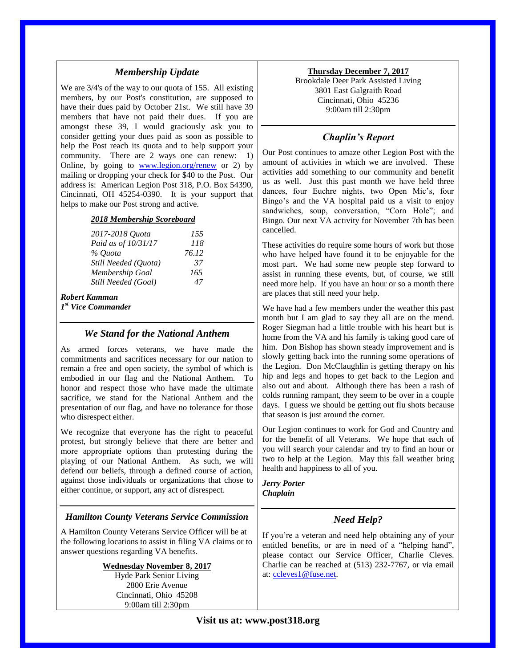# *Membership Update*

We are 3/4's of the way to our quota of 155. All existing members, by our Post's constitution, are supposed to have their dues paid by October 21st. We still have 39 members that have not paid their dues. If you are amongst these 39, I would graciously ask you to consider getting your dues paid as soon as possible to help the Post reach its quota and to help support your community. There are 2 ways one can renew: 1) Online, by going to [www.legion.org/renew](http://www.legion.org/renew) or 2) by mailing or dropping your check for \$40 to the Post. Our address is: American Legion Post 318, P.O. Box 54390, Cincinnati, OH 45254-0390. It is your support that helps to make our Post strong and active.

#### *2018 Membership Scoreboard*

| 2017-2018 Ouota      | 155   |
|----------------------|-------|
| Paid as of 10/31/17  | 118   |
| % Ouota              | 76.12 |
| Still Needed (Ouota) | 37    |
| Membership Goal      | 165   |
| Still Needed (Goal)  | 47    |
|                      |       |

# *Robert Kamman*

*1 st Vice Commander*

### *We Stand for the National Anthem*

As armed forces veterans, we have made the commitments and sacrifices necessary for our nation to remain a free and open society, the symbol of which is embodied in our flag and the National Anthem. To honor and respect those who have made the ultimate sacrifice, we stand for the National Anthem and the presentation of our flag, and have no tolerance for those who disrespect either.

We recognize that everyone has the right to peaceful protest, but strongly believe that there are better and more appropriate options than protesting during the playing of our National Anthem. As such, we will defend our beliefs, through a defined course of action, against those individuals or organizations that chose to either continue, or support, any act of disrespect.

#### *Hamilton County Veterans Service Commission*

A Hamilton County Veterans Service Officer will be at the following locations to assist in filing VA claims or to answer questions regarding VA benefits.

> **Wednesday November 8, 2017** Hyde Park Senior Living 2800 Erie Avenue Cincinnati, Ohio 45208 9:00am till 2:30pm

#### **Thursday December 7, 2017**

Brookdale Deer Park Assisted Living 3801 East Galgraith Road Cincinnati, Ohio 45236 9:00am till 2:30pm

# *Chaplin's Report*

Our Post continues to amaze other Legion Post with the amount of activities in which we are involved. These activities add something to our community and benefit us as well. Just this past month we have held three dances, four Euchre nights, two Open Mic's, four Bingo's and the VA hospital paid us a visit to enjoy sandwiches, soup, conversation, "Corn Hole"; and Bingo. Our next VA activity for November 7th has been cancelled.

These activities do require some hours of work but those who have helped have found it to be enjoyable for the most part. We had some new people step forward to assist in running these events, but, of course, we still need more help. If you have an hour or so a month there are places that still need your help.

We have had a few members under the weather this past month but I am glad to say they all are on the mend. Roger Siegman had a little trouble with his heart but is home from the VA and his family is taking good care of him. Don Bishop has shown steady improvement and is slowly getting back into the running some operations of the Legion. Don McClaughlin is getting therapy on his hip and legs and hopes to get back to the Legion and also out and about. Although there has been a rash of colds running rampant, they seem to be over in a couple days. I guess we should be getting out flu shots because that season is just around the corner.

Our Legion continues to work for God and Country and for the benefit of all Veterans. We hope that each of you will search your calendar and try to find an hour or two to help at the Legion. May this fall weather bring health and happiness to all of you.

*Jerry Porter Chaplain*

# *Need Help?*

If you're a veteran and need help obtaining any of your entitled benefits, or are in need of a "helping hand", please contact our Service Officer, Charlie Cleves. Charlie can be reached at (513) 232-7767, or via email at: [ccleves1@fuse.net.](mailto:ccleves1@fuse.net)

**Visit us at: www.post318.org**